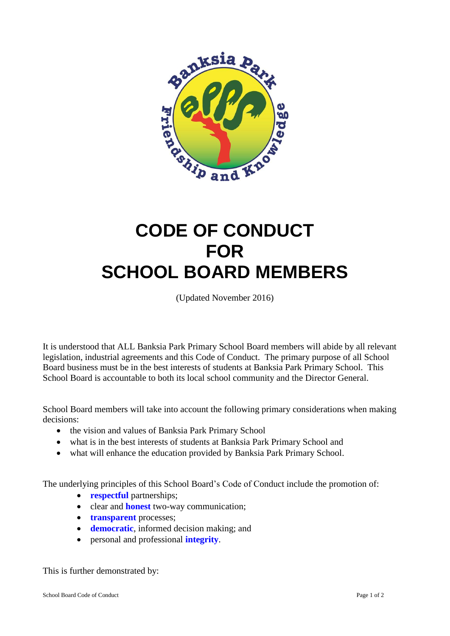

# **CODE OF CONDUCT FOR SCHOOL BOARD MEMBERS**

(Updated November 2016)

It is understood that ALL Banksia Park Primary School Board members will abide by all relevant legislation, industrial agreements and this Code of Conduct. The primary purpose of all School Board business must be in the best interests of students at Banksia Park Primary School. This School Board is accountable to both its local school community and the Director General.

School Board members will take into account the following primary considerations when making decisions:

- the vision and values of Banksia Park Primary School
- what is in the best interests of students at Banksia Park Primary School and
- what will enhance the education provided by Banksia Park Primary School.

The underlying principles of this School Board's Code of Conduct include the promotion of:

- **• respectful** partnerships;
- clear and **honest** two-way communication;
- **transparent** processes;
- **•** democratic, informed decision making; and
- personal and professional **integrity**.

This is further demonstrated by: